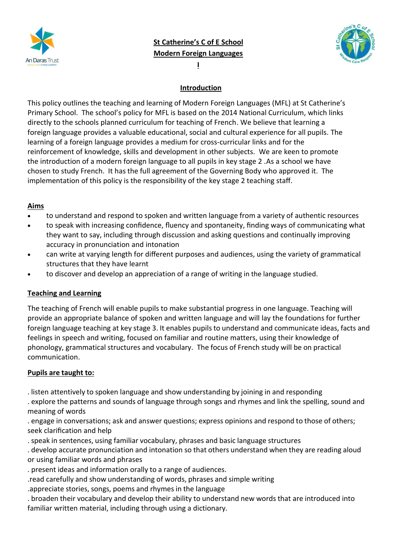

**Modern Foreign Languages I**



# **Introduction**

This policy outlines the teaching and learning of Modern Foreign Languages (MFL) at St Catherine's Primary School. The school's policy for MFL is based on the 2014 National Curriculum, which links directly to the schools planned curriculum for teaching of French. We believe that learning a foreign language provides a valuable educational, social and cultural experience for all pupils. The learning of a foreign language provides a medium for cross-curricular links and for the reinforcement of knowledge, skills and development in other subjects. We are keen to promote the introduction of a modern foreign language to all pupils in key stage 2 .As a school we have chosen to study French. It has the full agreement of the Governing Body who approved it. The implementation of this policy is the responsibility of the key stage 2 teaching staff.

## **Aims**

- to understand and respond to spoken and written language from a variety of authentic resources
- to speak with increasing confidence, fluency and spontaneity, finding ways of communicating what they want to say, including through discussion and asking questions and continually improving accuracy in pronunciation and intonation
- can write at varying length for different purposes and audiences, using the variety of grammatical structures that they have learnt
- to discover and develop an appreciation of a range of writing in the language studied.

# **Teaching and Learning**

The teaching of French will enable pupils to make substantial progress in one language. Teaching will provide an appropriate balance of spoken and written language and will lay the foundations for further foreign language teaching at key stage 3. It enables pupils to understand and communicate ideas, facts and feelings in speech and writing, focused on familiar and routine matters, using their knowledge of phonology, grammatical structures and vocabulary. The focus of French study will be on practical communication.

## **Pupils are taught to:**

. listen attentively to spoken language and show understanding by joining in and responding

. explore the patterns and sounds of language through songs and rhymes and link the spelling, sound and meaning of words

. engage in conversations; ask and answer questions; express opinions and respond to those of others; seek clarification and help

. speak in sentences, using familiar vocabulary, phrases and basic language structures

. develop accurate pronunciation and intonation so that others understand when they are reading aloud or using familiar words and phrases

- . present ideas and information orally to a range of audiences.
- .read carefully and show understanding of words, phrases and simple writing

.appreciate stories, songs, poems and rhymes in the language

. broaden their vocabulary and develop their ability to understand new words that are introduced into familiar written material, including through using a dictionary.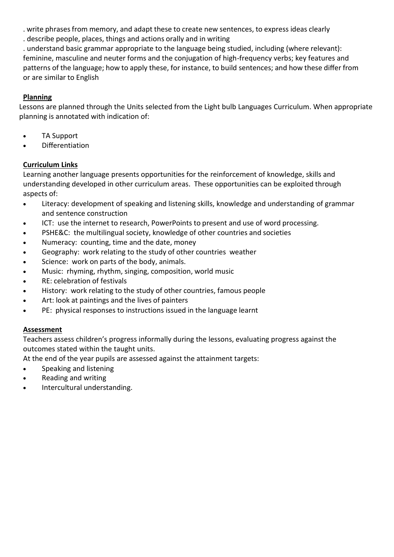. write phrasesfrom memory, and adapt these to create new sentences, to express ideas clearly

. describe people, places, things and actions orally and in writing

. understand basic grammar appropriate to the language being studied, including (where relevant): feminine, masculine and neuter forms and the conjugation of high-frequency verbs; key features and patterns of the language; how to apply these, for instance, to build sentences; and how these differ from or are similar to English

# **Planning**

Lessons are planned through the Units selected from the Light bulb Languages Curriculum. When appropriate planning is annotated with indication of:

- TA Support
- Differentiation

# **Curriculum Links**

Learning another language presents opportunities for the reinforcement of knowledge, skills and understanding developed in other curriculum areas. These opportunities can be exploited through aspects of:

- Literacy: development of speaking and listening skills, knowledge and understanding of grammar and sentence construction
- ICT: use the internet to research, PowerPoints to present and use of word processing.
- PSHE&C: the multilingual society, knowledge of other countries and societies
- Numeracy: counting, time and the date, money
- Geography: work relating to the study of other countries weather
- Science: work on parts of the body, animals.
- Music: rhyming, rhythm, singing, composition, world music
- RE: celebration of festivals
- History: work relating to the study of other countries, famous people
- Art: look at paintings and the lives of painters
- PE: physical responses to instructions issued in the language learnt

# **Assessment**

Teachers assess children's progress informally during the lessons, evaluating progress against the outcomes stated within the taught units.

At the end of the year pupils are assessed against the attainment targets:

- Speaking and listening
- Reading and writing
- Intercultural understanding.